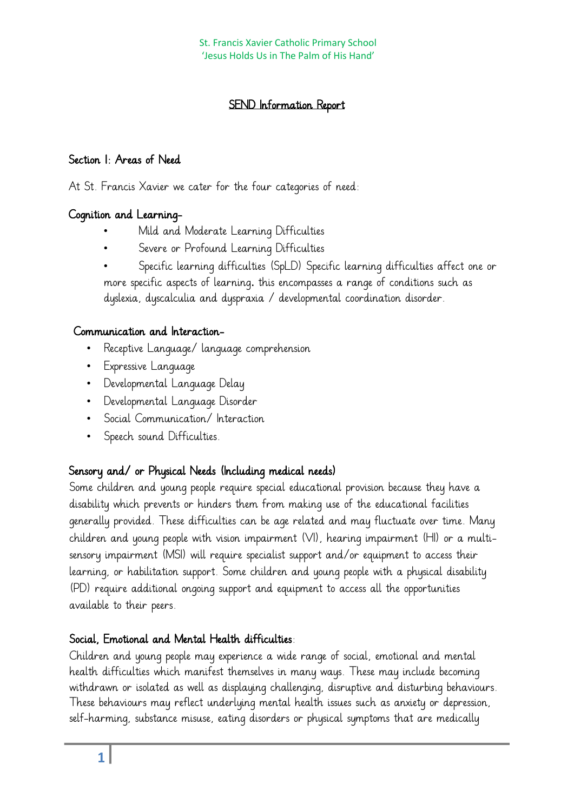# SEND Information Report

#### Section 1: Areas of Need

At St. Francis Xavier we cater for the four categories of need:

### Cognition and Learning-

- Mild and Moderate Learning Difficulties
- Severe or Profound Learning Difficulties

• Specific learning difficulties (SpLD) Specific learning difficulties affect one or more specific aspects of learning. this encompasses a range of conditions such as dyslexia, dyscalculia and dyspraxia / developmental coordination disorder.

### Communication and Interaction-

- Receptive Language/ language comprehension
- Expressive Language
- Developmental Language Delay
- Developmental Language Disorder
- Social Communication/ Interaction
- Speech sound Difficulties.

### Sensory and/ or Physical Needs (Including medical needs)

Some children and young people require special educational provision because they have a disability which prevents or hinders them from making use of the educational facilities generally provided. These difficulties can be age related and may fluctuate over time. Many children and young people with vision impairment (VI), hearing impairment (HI) or a multisensory impairment (MSI) will require specialist support and/or equipment to access their learning, or habilitation support. Some children and young people with a physical disability (PD) require additional ongoing support and equipment to access all the opportunities available to their peers.

# Social, Emotional and Mental Health difficulties:

Children and young people may experience a wide range of social, emotional and mental health difficulties which manifest themselves in many ways. These may include becoming withdrawn or isolated as well as displaying challenging, disruptive and disturbing behaviours. These behaviours may reflect underlying mental health issues such as anxiety or depression, self-harming, substance misuse, eating disorders or physical symptoms that are medically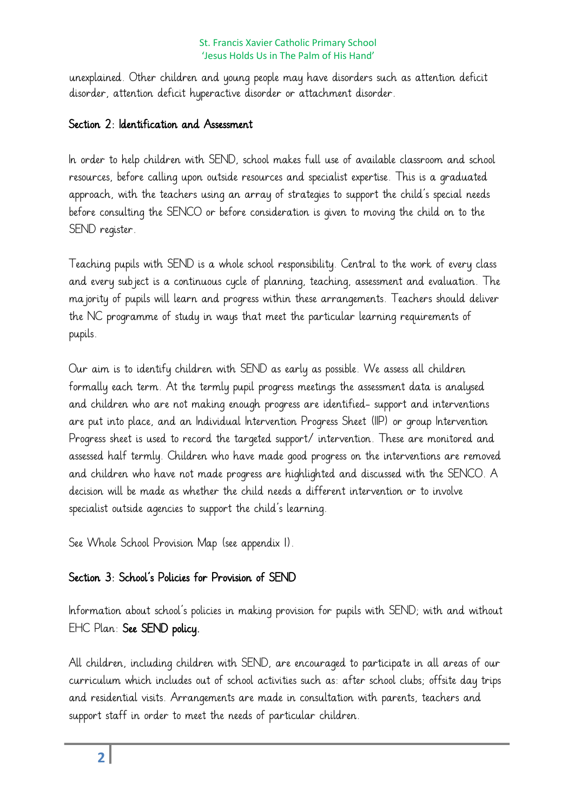unexplained. Other children and young people may have disorders such as attention deficit disorder, attention deficit hyperactive disorder or attachment disorder.

#### Section 2: Identification and Assessment

In order to help children with SEND, school makes full use of available classroom and school resources, before calling upon outside resources and specialist expertise. This is a graduated approach, with the teachers using an array of strategies to support the child's special needs before consulting the SENCO or before consideration is given to moving the child on to the SEND register.

Teaching pupils with SEND is a whole school responsibility. Central to the work of every class and every subject is a continuous cycle of planning, teaching, assessment and evaluation. The majority of pupils will learn and progress within these arrangements. Teachers should deliver the NC programme of study in ways that meet the particular learning requirements of pupils.

Our aim is to identify children with SEND as early as possible. We assess all children formally each term. At the termly pupil progress meetings the assessment data is analysed and children who are not making enough progress are identified- support and interventions are put into place, and an Individual Intervention Progress Sheet (IIP) or group Intervention Progress sheet is used to record the targeted support/ intervention. These are monitored and assessed half termly. Children who have made good progress on the interventions are removed and children who have not made progress are highlighted and discussed with the SENCO. A decision will be made as whether the child needs a different intervention or to involve specialist outside agencies to support the child's learning.

See Whole School Provision Map (see appendix 1).

### Section 3: School's Policies for Provision of SEND

Information about school's policies in making provision for pupils with SEND; with and without EHC Plan: See SEND policy.

All children, including children with SEND, are encouraged to participate in all areas of our curriculum which includes out of school activities such as: after school clubs; offsite day trips and residential visits. Arrangements are made in consultation with parents, teachers and support staff in order to meet the needs of particular children.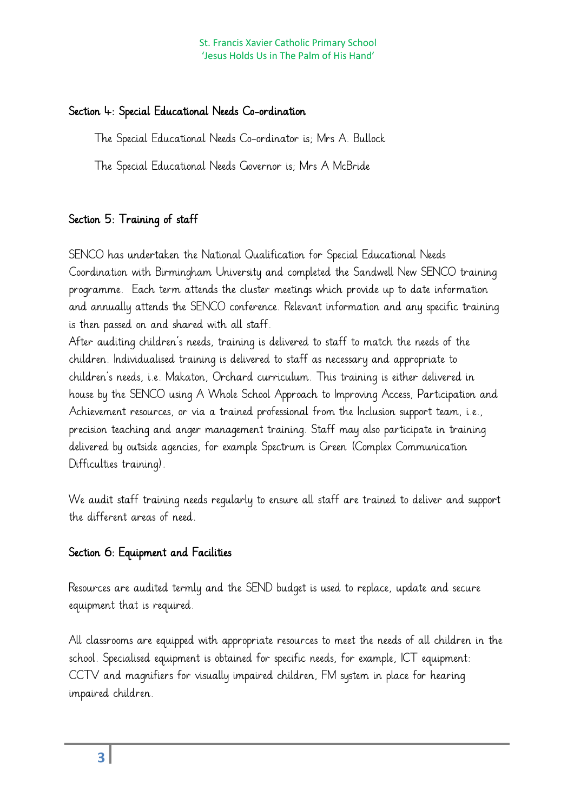### Section 4: Special Educational Needs Co-ordination

The Special Educational Needs Co-ordinator is; Mrs A. Bullock

The Special Educational Needs Governor is; Mrs A McBride

# Section 5: Training of staff

SENCO has undertaken the National Qualification for Special Educational Needs Coordination with Birmingham University and completed the Sandwell New SENCO training programme. Each term attends the cluster meetings which provide up to date information and annually attends the SENCO conference. Relevant information and any specific training is then passed on and shared with all staff.

After auditing children's needs, training is delivered to staff to match the needs of the children. Individualised training is delivered to staff as necessary and appropriate to children's needs, i.e. Makaton, Orchard curriculum. This training is either delivered in house by the SENCO using A Whole School Approach to Improving Access, Participation and Achievement resources, or via a trained professional from the Inclusion support team, i.e., precision teaching and anger management training. Staff may also participate in training delivered by outside agencies, for example Spectrum is Green (Complex Communication Difficulties training).

We audit staff training needs regularly to ensure all staff are trained to deliver and support the different areas of need.

# Section 6: Equipment and Facilities

Resources are audited termly and the SEND budget is used to replace, update and secure equipment that is required.

All classrooms are equipped with appropriate resources to meet the needs of all children in the school. Specialised equipment is obtained for specific needs, for example, ICT equipment: CCTV and magnifiers for visually impaired children, FM system in place for hearing impaired children.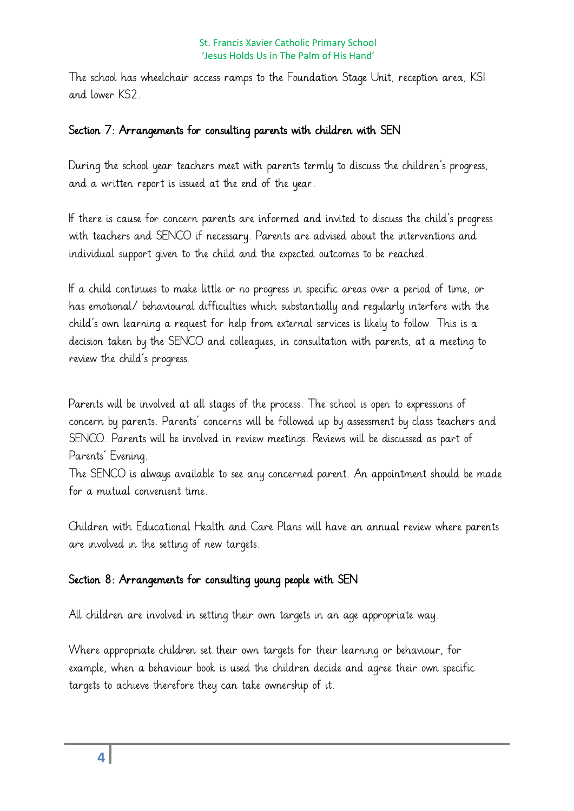The school has wheelchair access ramps to the Foundation Stage Unit, reception area, KS1 and lower KS2.

#### Section 7: Arrangements for consulting parents with children with SEN

During the school year teachers meet with parents termly to discuss the children's progress, and a written report is issued at the end of the year.

If there is cause for concern parents are informed and invited to discuss the child's progress with teachers and SENCO if necessary. Parents are advised about the interventions and individual support given to the child and the expected outcomes to be reached.

If a child continues to make little or no progress in specific areas over a period of time, or has emotional/ behavioural difficulties which substantially and regularly interfere with the child's own learning a request for help from external services is likely to follow. This is a decision taken by the SENCO and colleagues, in consultation with parents, at a meeting to review the child's progress.

Parents will be involved at all stages of the process. The school is open to expressions of concern by parents. Parents' concerns will be followed up by assessment by class teachers and SENCO. Parents will be involved in review meetings. Reviews will be discussed as part of Parents' Evening.

The SENCO is always available to see any concerned parent. An appointment should be made for a mutual convenient time.

Children with Educational Health and Care Plans will have an annual review where parents are involved in the setting of new targets.

### Section 8: Arrangements for consulting young people with SEN

All children are involved in setting their own targets in an age appropriate way.

Where appropriate children set their own targets for their learning or behaviour, for example, when a behaviour book is used the children decide and agree their own specific targets to achieve therefore they can take ownership of it.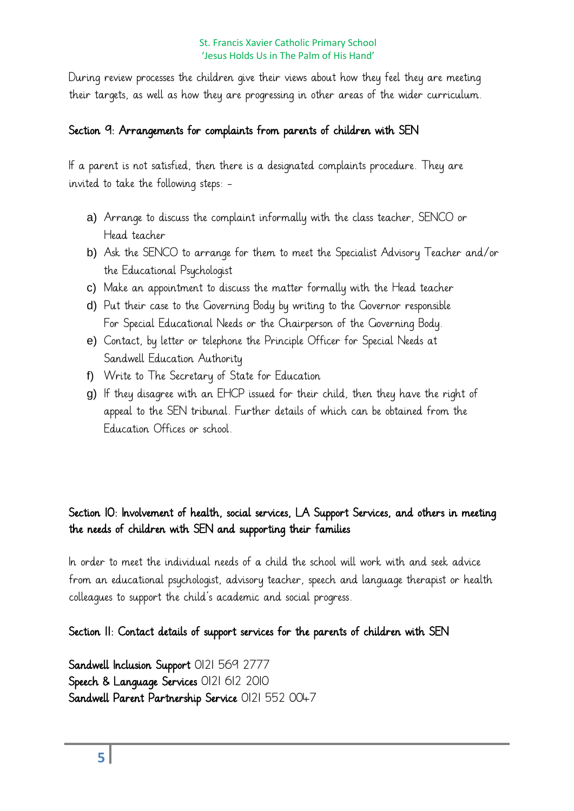During review processes the children give their views about how they feel they are meeting their targets, as well as how they are progressing in other areas of the wider curriculum.

### Section 9: Arrangements for complaints from parents of children with SEN

If a parent is not satisfied, then there is a designated complaints procedure. They are invited to take the following steps: -

- a) Arrange to discuss the complaint informally with the class teacher, SENCO or Head teacher
- b) Ask the SENCO to arrange for them to meet the Specialist Advisory Teacher and/or the Educational Psychologist
- c) Make an appointment to discuss the matter formally with the Head teacher
- d) Put their case to the Governing Body by writing to the Governor responsible For Special Educational Needs or the Chairperson of the Governing Body.
- e) Contact, by letter or telephone the Principle Officer for Special Needs at Sandwell Education Authority
- f) Write to The Secretary of State for Education
- g) If they disagree with an EHCP issued for their child, then they have the right of appeal to the SEN tribunal. Further details of which can be obtained from the Education Offices or school.

# Section 10: Involvement of health, social services, LA Support Services, and others in meeting the needs of children with SEN and supporting their families

In order to meet the individual needs of a child the school will work with and seek advice from an educational psychologist, advisory teacher, speech and language therapist or health colleagues to support the child's academic and social progress.

Section 11: Contact details of support services for the parents of children with SEN

Sandwell Inclusion Support 0121 569 2777 Speech & Language Services 0121 612 2010 Sandwell Parent Partnership Service 0121 552 0047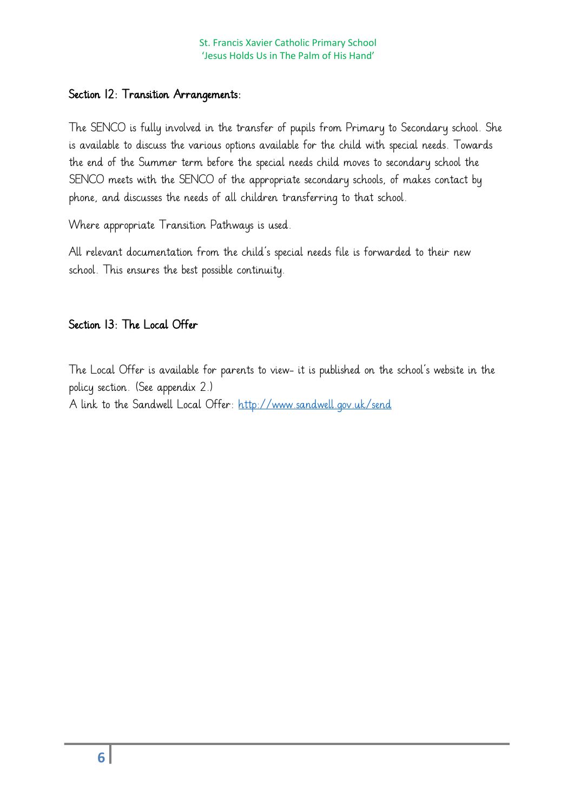#### Section 12: Transition Arrangements:

The SENCO is fully involved in the transfer of pupils from Primary to Secondary school. She is available to discuss the various options available for the child with special needs. Towards the end of the Summer term before the special needs child moves to secondary school the SENCO meets with the SENCO of the appropriate secondary schools, of makes contact by phone, and discusses the needs of all children transferring to that school.

Where appropriate Transition Pathways is used.

All relevant documentation from the child's special needs file is forwarded to their new school. This ensures the best possible continuity.

#### Section 13: The Local Offer

The Local Offer is available for parents to view- it is published on the school's website in the policy section. (See appendix 2.)

A link to the Sandwell Local Offer:<http://www.sandwell.gov.uk/send>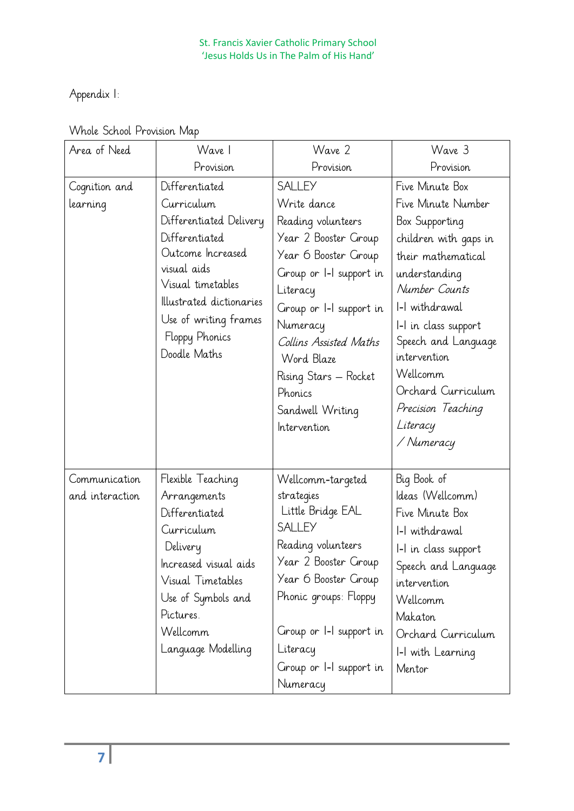Appendix 1:

| Area of Need                     | Wave I                                                                                                                                                                                                                    | Wave 2                                                                                                                                                                                                                                                                                           | Wave 3                                                                                                                                                                                                                                                                                                      |
|----------------------------------|---------------------------------------------------------------------------------------------------------------------------------------------------------------------------------------------------------------------------|--------------------------------------------------------------------------------------------------------------------------------------------------------------------------------------------------------------------------------------------------------------------------------------------------|-------------------------------------------------------------------------------------------------------------------------------------------------------------------------------------------------------------------------------------------------------------------------------------------------------------|
|                                  | Provision                                                                                                                                                                                                                 | Provision                                                                                                                                                                                                                                                                                        | Provision                                                                                                                                                                                                                                                                                                   |
| Cognition and<br>learning        | Differentiated<br>Curriculum<br>Differentiated Delivery<br>Differentiated<br>Outcome Increased<br>visual aids<br>Visual timetables<br>Illustrated dictionaries<br>Use of writing frames<br>Floppy Phonics<br>Doodle Maths | <b>SALLEY</b><br>Write dance<br>Reading volunteers<br>Year 2 Booster Group<br>Year 6 Booster Group<br>Group or I-I support in<br>Literacy<br>Group or I-I support in<br>Numeracy<br>Collins Assisted Maths<br>Word Blaze<br>Rising Stars – Rocket<br>Phonics<br>Sandwell Writing<br>Intervention | Five Minute Box<br>Five Minute Number<br>Box Supporting<br>children with gaps in<br>their mathematical<br>understanding<br>Number Counts<br>I-I withdrawal<br>I-I in class support<br>Speech and Language<br>intervention<br>Wellcomm<br>Orchard Curriculum<br>Precision Teaching<br>Literacy<br>/ Numeracy |
| Communication<br>and interaction | Flexible Teaching<br>Arrangements<br>Differentiated<br>Curriculum<br>Delivery<br>Increased visual aids<br>Visual Timetables<br>Use of Symbols and<br>Pictures.<br>Wellcomm<br>Language Modelling                          | Wellcomm-targeted<br>strategies<br>Little Bridge EAL<br><b>SALLEY</b><br>Reading volunteers<br>Year 2 Booster Group<br>Year 6 Booster Group<br>Phonic groups: Floppy<br>Group or I-I support in<br>Literacy<br>Group or I-I support in<br>Numeracy                                               | Big Book of<br>Ideas (Wellcomm)<br>Five Minute Box<br>I-I withdrawal<br>I-I in class support<br>Speech and Language<br>intervention<br>Wellcomm<br>Makaton<br>Orchard Curriculum<br>I-I with Learning<br>Mentor                                                                                             |

# Whole School Provision Map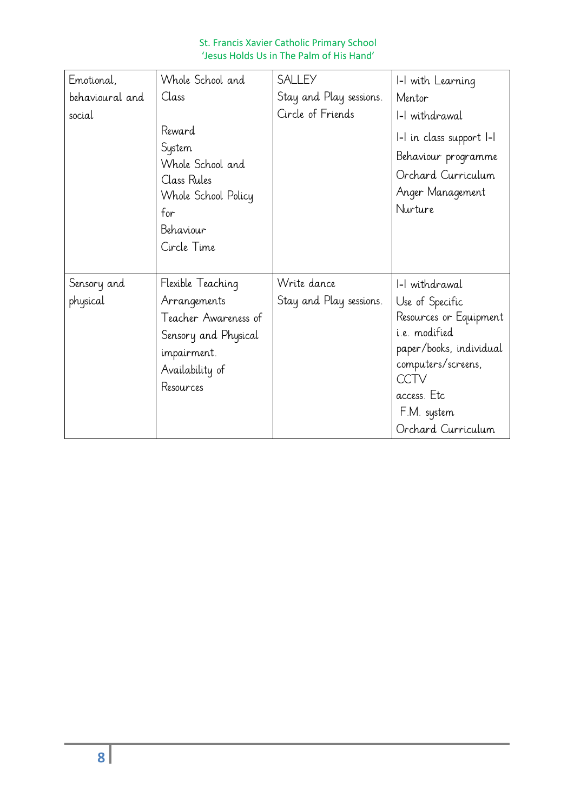| Emotional,              | Whole School and                                                                                                                 | <b>SALLEY</b>                          | 1-1 with Learning                                                                                                                                                                         |
|-------------------------|----------------------------------------------------------------------------------------------------------------------------------|----------------------------------------|-------------------------------------------------------------------------------------------------------------------------------------------------------------------------------------------|
| behavioural and         | Class                                                                                                                            | Stay and Play sessions.                | Mentor                                                                                                                                                                                    |
| social                  |                                                                                                                                  | Circle of Friends                      | I-I withdrawal                                                                                                                                                                            |
|                         | Reward<br>System<br>Whole School and<br>Class Rules<br>Whole School Policy<br>for<br>Behaviour<br>Circle Time                    |                                        | I-I in class support I-I<br>Behaviour programme<br>Orchard Curriculum<br>Anger Management<br>Nurture                                                                                      |
| Sensory and<br>physical | Flexible Teaching<br>Arrangements<br>Teacher Awareness of<br>Sensory and Physical<br>impairment.<br>Availability of<br>Resources | Write dance<br>Stay and Play sessions. | I-I withdrawal<br>Use of Specific<br>Resources or Equipment<br>i.e. modified<br>paper/books, individual<br>computers/screens,<br>CCTV<br>access. Etc<br>F.M. system<br>Orchard Curriculum |